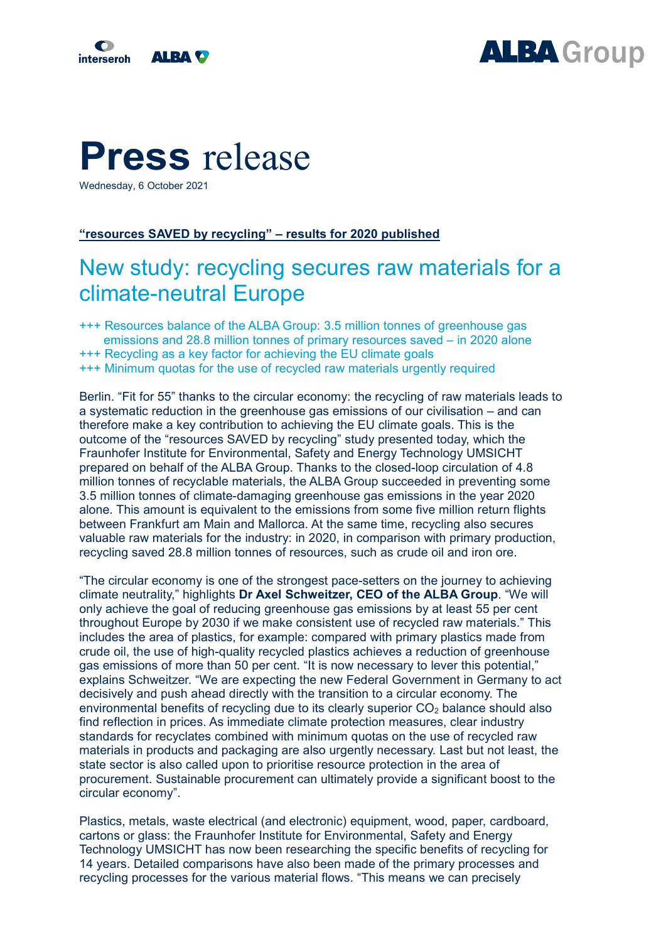



## **Press** release

Wednesday, 6 October 2021

## **"resources SAVED by recycling" – results for 2020 published**

## New study: recycling secures raw materials for a climate-neutral Europe

+++ Resources balance of the ALBA Group: 3.5 million tonnes of greenhouse gas emissions and 28.8 million tonnes of primary resources saved – in 2020 alone +++ Recycling as a key factor for achieving the EU climate goals +++ Minimum quotas for the use of recycled raw materials urgently required

Berlin. "Fit for 55" thanks to the circular economy: the recycling of raw materials leads to a systematic reduction in the greenhouse gas emissions of our civilisation – and can therefore make a key contribution to achieving the EU climate goals. This is the outcome of the "resources SAVED by recycling" study presented today, which the Fraunhofer Institute for Environmental, Safety and Energy Technology UMSICHT prepared on behalf of the ALBA Group. Thanks to the closed-loop circulation of 4.8 million tonnes of recyclable materials, the ALBA Group succeeded in preventing some 3.5 million tonnes of climate-damaging greenhouse gas emissions in the year 2020 alone. This amount is equivalent to the emissions from some five million return flights between Frankfurt am Main and Mallorca. At the same time, recycling also secures valuable raw materials for the industry: in 2020, in comparison with primary production, recycling saved 28.8 million tonnes of resources, such as crude oil and iron ore.

"The circular economy is one of the strongest pace-setters on the journey to achieving climate neutrality," highlights **Dr Axel Schweitzer, CEO of the ALBA Group**. "We will only achieve the goal of reducing greenhouse gas emissions by at least 55 per cent throughout Europe by 2030 if we make consistent use of recycled raw materials." This includes the area of plastics, for example: compared with primary plastics made from crude oil, the use of high-quality recycled plastics achieves a reduction of greenhouse gas emissions of more than 50 per cent. "It is now necessary to lever this potential," explains Schweitzer. "We are expecting the new Federal Government in Germany to act decisively and push ahead directly with the transition to a circular economy. The environmental benefits of recycling due to its clearly superior  $CO<sub>2</sub>$  balance should also find reflection in prices. As immediate climate protection measures, clear industry standards for recyclates combined with minimum quotas on the use of recycled raw materials in products and packaging are also urgently necessary. Last but not least, the state sector is also called upon to prioritise resource protection in the area of procurement. Sustainable procurement can ultimately provide a significant boost to the circular economy".

Plastics, metals, waste electrical (and electronic) equipment, wood, paper, cardboard, cartons or glass: the Fraunhofer Institute for Environmental, Safety and Energy Technology UMSICHT has now been researching the specific benefits of recycling for 14 years. Detailed comparisons have also been made of the primary processes and recycling processes for the various material flows. "This means we can precisely